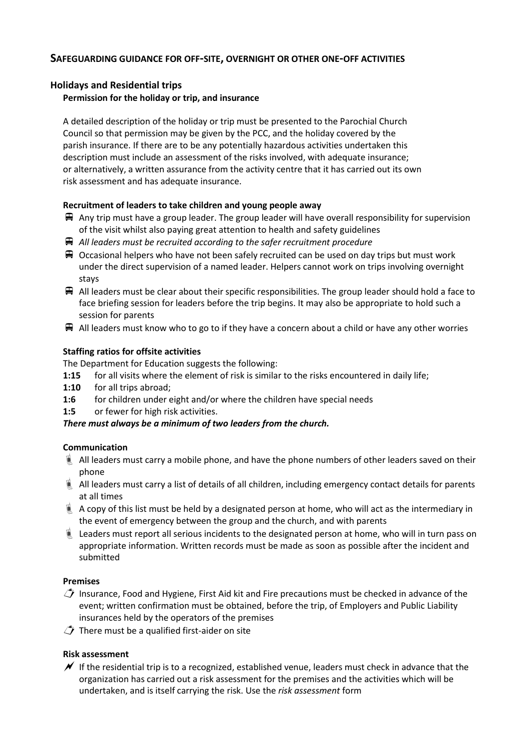# **SAFEGUARDING GUIDANCE FOR OFF-SITE, OVERNIGHT OR OTHER ONE-OFF ACTIVITIES**

## **Holidays and Residential trips**

## **Permission for the holiday or trip, and insurance**

A detailed description of the holiday or trip must be presented to the Parochial Church Council so that permission may be given by the PCC, and the holiday covered by the parish insurance. If there are to be any potentially hazardous activities undertaken this description must include an assessment of the risks involved, with adequate insurance; or alternatively, a written assurance from the activity centre that it has carried out its own risk assessment and has adequate insurance.

## **Recruitment of leaders to take children and young people away**

- $\bigoplus$  Any trip must have a group leader. The group leader will have overall responsibility for supervision of the visit whilst also paying great attention to health and safety guidelines
- *All leaders must be recruited according to the safer recruitment procedure*
- $\bigoplus$  Occasional helpers who have not been safely recruited can be used on day trips but must work under the direct supervision of a named leader. Helpers cannot work on trips involving overnight stays
- $\mathbb F$  All leaders must be clear about their specific responsibilities. The group leader should hold a face to face briefing session for leaders before the trip begins. It may also be appropriate to hold such a session for parents
- $\bigoplus$  All leaders must know who to go to if they have a concern about a child or have any other worries

## **Staffing ratios for offsite activities**

The Department for Education suggests the following:

- **1:15** for all visits where the element of risk is similar to the risks encountered in daily life;
- **1:10** for all trips abroad;
- 1:6 for children under eight and/or where the children have special needs
- **1:5** or fewer for high risk activities.

### *There must always be a minimum of two leaders from the church.*

### **Communication**

- $\blacksquare$  All leaders must carry a mobile phone, and have the phone numbers of other leaders saved on their phone
- All leaders must carry a list of details of all children, including emergency contact details for parents at all times
- $\blacksquare$  A copy of this list must be held by a designated person at home, who will act as the intermediary in the event of emergency between the group and the church, and with parents
- $\blacksquare$  Leaders must report all serious incidents to the designated person at home, who will in turn pass on appropriate information. Written records must be made as soon as possible after the incident and submitted

### **Premises**

- $\hat{\mathcal{L}}$  Insurance, Food and Hygiene, First Aid kit and Fire precautions must be checked in advance of the event; written confirmation must be obtained, before the trip, of Employers and Public Liability insurances held by the operators of the premises
- $\hat{I}$  There must be a qualified first-aider on site

## **Risk assessment**

 $\mathcal I$  If the residential trip is to a recognized, established venue, leaders must check in advance that the organization has carried out a risk assessment for the premises and the activities which will be undertaken, and is itself carrying the risk. Use the *risk assessment* form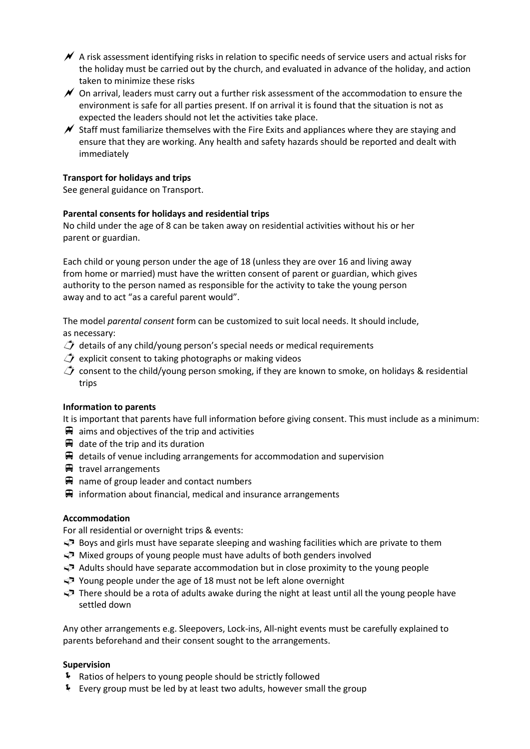- $\blacktriangleright$  A risk assessment identifying risks in relation to specific needs of service users and actual risks for the holiday must be carried out by the church, and evaluated in advance of the holiday, and action taken to minimize these risks
- $\mathscr N$  On arrival, leaders must carry out a further risk assessment of the accommodation to ensure the environment is safe for all parties present. If on arrival it is found that the situation is not as expected the leaders should not let the activities take place.
- $\mathscr N$  Staff must familiarize themselves with the Fire Exits and appliances where they are staying and ensure that they are working. Any health and safety hazards should be reported and dealt with immediately

### **Transport for holidays and trips**

See general guidance on Transport.

## **Parental consents for holidays and residential trips**

No child under the age of 8 can be taken away on residential activities without his or her parent or guardian.

Each child or young person under the age of 18 (unless they are over 16 and living away from home or married) must have the written consent of parent or guardian, which gives authority to the person named as responsible for the activity to take the young person away and to act "as a careful parent would".

The model *parental consent* form can be customized to suit local needs. It should include, as necessary:

- $\hat{D}$  details of any child/young person's special needs or medical requirements
- $\hat{\mathcal{L}}$  explicit consent to taking photographs or making videos
- $\hat{\mathcal{L}}$  consent to the child/young person smoking, if they are known to smoke, on holidays & residential trips

### **Information to parents**

It is important that parents have full information before giving consent. This must include as a minimum:

- $\blacksquare$  aims and objectives of the trip and activities
- $\bigoplus$  date of the trip and its duration
- $\mathbb F$  details of venue including arrangements for accommodation and supervision
- $\blacksquare$  travel arrangements
- $\mathbf{\Theta}$  name of group leader and contact numbers
- $\mathbf{\Theta}$  information about financial, medical and insurance arrangements

### **Accommodation**

For all residential or overnight trips & events:

- $\blacktriangleright$  Boys and girls must have separate sleeping and washing facilities which are private to them
- $\Rightarrow$  Mixed groups of young people must have adults of both genders involved
- $\Leftrightarrow$  Adults should have separate accommodation but in close proximity to the young people
- $\blacktriangleright$  Young people under the age of 18 must not be left alone overnight
- $\blacktriangleright$  There should be a rota of adults awake during the night at least until all the young people have settled down

Any other arrangements e.g. Sleepovers, Lock-ins, All-night events must be carefully explained to parents beforehand and their consent sought to the arrangements.

### **Supervision**

- Ratios of helpers to young people should be strictly followed
- Every group must be led by at least two adults, however small the group